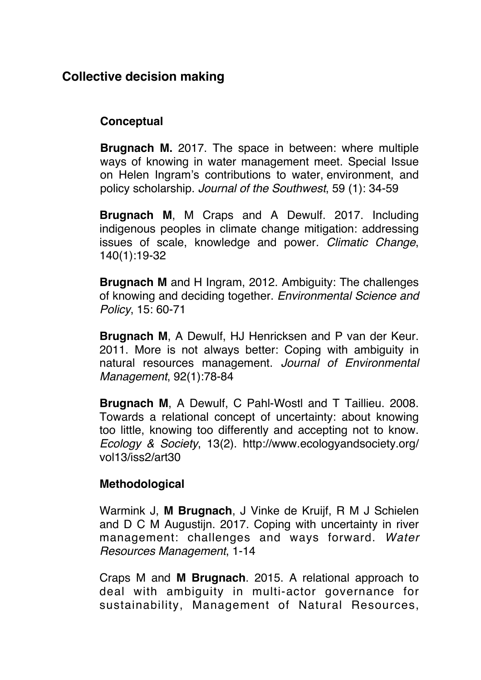## **[Collective decision making](https://30404c35-5adb-4375-8bd2-6b687a205887.filesusr.com/ugd/035524_182de084dbf74eeba616b2da46194935.docx?dn=FISH.docx)**

## **Conceptual**

**Brugnach M.** 2017. The space in between: where multiple ways of knowing in water management meet. Special Issue on Helen Ingram's contributions to water, environment, and policy scholarship. *Journal of the Southwest*, 59 (1): 34-59

**Brugnach M**, M Craps and A Dewulf. 2017. Including indigenous peoples in climate change mitigation: addressing issues of scale, knowledge and power*. Climatic Change*, 140(1):19-32

**Brugnach M** and H Ingram, 2012. Ambiguity: The challenges of knowing and deciding together. *Environmental Science and Policy*, 15: 60-71

**Brugnach M**, A Dewulf, HJ Henricksen and P van der Keur. 2011. More is not always better: Coping with ambiguity in natural resources management. *Journal of Environmental Management*, 92(1):78-84

**Brugnach M**, A Dewulf, C Pahl-Wostl and T Taillieu. 2008. Towards a relational concept of uncertainty: about knowing too little, knowing too differently and accepting not to know. *Ecology & Society*, 13(2). [http://www.ecologyandsociety.org/](http://www.ecologyandsociety.org/vol13/iss2/art30) [vol13/iss2/art30](http://www.ecologyandsociety.org/vol13/iss2/art30)

## **Methodological**

Warmink J, **M Brugnach**, J Vinke de Kruijf, R M J Schielen and D C M Augustijn. 2017. Coping with uncertainty in river management: challenges and ways forward. *Water Resources Management*, 1-14

Craps M and **M Brugnach**. 2015. [A relational approach to](http://books.google.com/books?hl=en&lr=&id=SFaFCgAAQBAJ&oi=fnd&pg=PA233&dq=info:xS6XnWuXoL4J:scholar.google.com&ots=R9syhS22Ri&sig=WuwpgB5P-46RvZi1Bcmm6b8ZvzU) [deal with ambiguity in multi-actor governance for](http://books.google.com/books?hl=en&lr=&id=SFaFCgAAQBAJ&oi=fnd&pg=PA233&dq=info:xS6XnWuXoL4J:scholar.google.com&ots=R9syhS22Ri&sig=WuwpgB5P-46RvZi1Bcmm6b8ZvzU) [sustainability](http://books.google.com/books?hl=en&lr=&id=SFaFCgAAQBAJ&oi=fnd&pg=PA233&dq=info:xS6XnWuXoL4J:scholar.google.com&ots=R9syhS22Ri&sig=WuwpgB5P-46RvZi1Bcmm6b8ZvzU), Management of Natural Resources,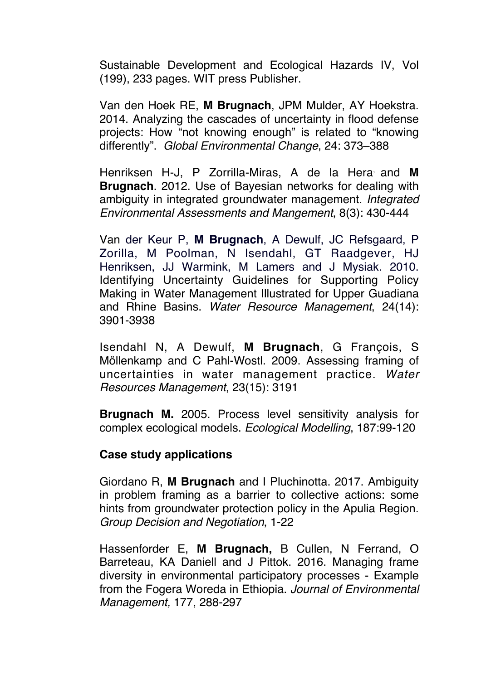Sustainable Development and Ecological Hazards IV, Vol (199), 233 pages. WIT press Publisher.

Van den Hoek RE, **M Brugnach**, JPM Mulder, AY Hoekstra. 2014. Analyzing the cascades of uncertainty in flood defense projects: How "not knowing enough" is related to "knowing differently". *Global Environmental Change*, 24: 373–388

Henriksen H-J, P Zorrilla-Miras, A de la Hera, and **M Brugnach**. 2012. Use of Bayesian networks for dealing with ambiguity in integrated groundwater management. *Integrated Environmental Assessments and Mangement*, 8(3): 430-444

Van der Keur P, **M Brugnach**, A Dewulf, JC Refsgaard, P Zorilla, M Poolman, N Isendahl, GT Raadgever, HJ Henriksen, JJ Warmink, M Lamers and J Mysiak. 2010. Identifying Uncertainty Guidelines for Supporting Policy Making in Water Management Illustrated for Upper Guadiana and Rhine Basins. *Water Resource Management*, 24(14): 3901-3938

Isendahl N, A Dewulf, **M Brugnach**, G François, S Möllenkamp and C Pahl-Wostl. 2009. Assessing framing of uncertainties in water management practice. *Water Resources Management*, 23(15): 3191

**Brugnach M.** 2005. Process level sensitivity analysis for complex ecological models. *Ecological Modelling*, 187:99-120

## **Case study applications**

Giordano R, **M Brugnach** and I Pluchinotta. 2017. Ambiguity in problem framing as a barrier to collective actions: some hints from groundwater protection policy in the Apulia Region. *Group Decision and Negotiation*, 1-22

Hassenforder E, **M Brugnach,** B Cullen, N Ferrand, O Barreteau, KA Daniell and J Pittok. 2016. Managing frame diversity in environmental participatory processes - Example from the Fogera Woreda in Ethiopia. *Journal of Environmental Management,* 177, 288-297